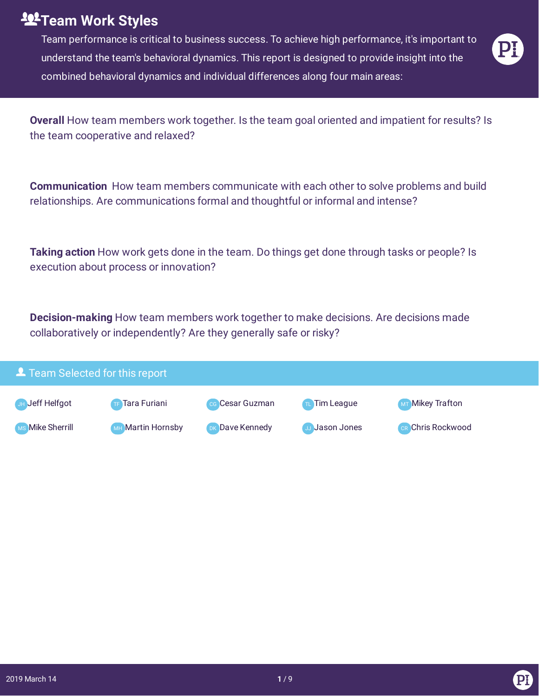## **Team Work Styles**

Team performance is critical to business success. To achieve high performance, it's important to understand the team's behavioral dynamics. This report is designed to provide insight into the combined behavioral dynamics and individual differences along four main areas:

**Overall** How team members work together. Is the team goal oriented and impatient for results? Is the team cooperative and relaxed?

**Communication** How team members communicate with each other to solve problems and build relationships. Are communications formal and thoughtful or informal and intense?

**Taking action** How work gets done in the team. Do things get done through tasks or people? Is execution about process or innovation?

**Decision-making** How team members work together to make decisions. Are decisions made collaboratively or independently? Are they generally safe or risky?

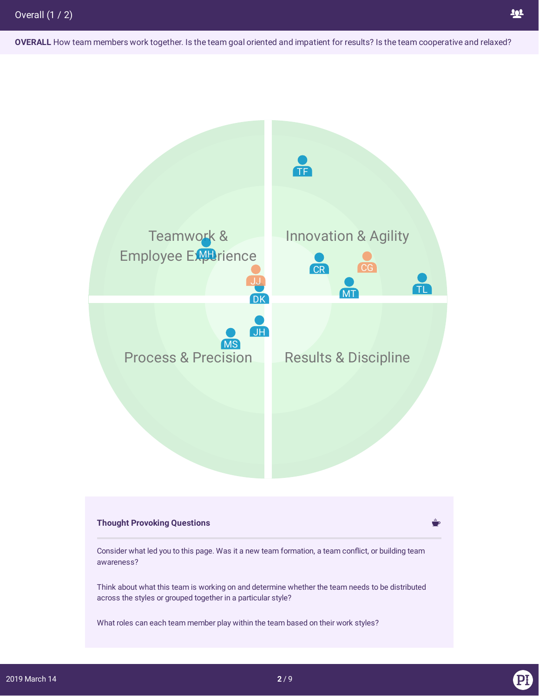**OVERALL** How team members work together. Is the team goal oriented and impatient for results? Is the team cooperative and relaxed?

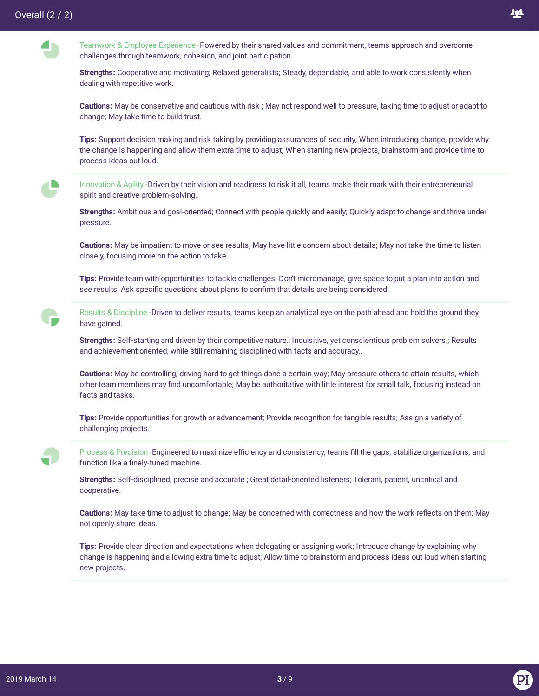



**Strengths:** Cooperative and motivating; Relaxed generalists; Steady, dependable, and able to work consistently when dealing with repetitive work.

**Cautions:** May be conservative and cautious with risk ; May not respond well to pressure, taking time to adjust or adapt to change; May take time to build trust.

**Tips:** Support decision making and risk taking by providing assurances of security; When introducing change, provide why the change is happening and allow them extra time to adjust; When starting new projects, brainstorm and provide time to process ideas out loud.

 $\blacksquare$ 

Innovation & Agility -Driven by their vision and readiness to risk it all, teams make their mark with their entrepreneurial spirit and creative problem-solving.

**Strengths:** Ambitious and goal-oriented; Connect with people quickly and easily; Quickly adapt to change and thrive under pressure.

**Cautions:** May be impatient to move or see results; May have little concern about details; May not take the time to listen closely, focusing more on the action to take.

**Tips:** Provide team with opportunities to tackle challenges; Don't micromanage, give space to put a plan into action and see results; Ask specific questions about plans to confirm that details are being considered.

Results & Discipline -Driven to deliver results, teams keep an analytical eye on the path ahead and hold the ground they have gained.

**Strengths:** Self-starting and driven by their competitive nature.; Inquisitive, yet conscientious problem solvers.; Results and achievement oriented, while still remaining disciplined with facts and accuracy..

**Cautions:** May be controlling, driving hard to get things done a certain way; May pressure others to attain results, which other team members may find uncomfortable; May be authoritative with little interest for small talk, focusing instead on facts and tasks.

**Tips:** Provide opportunities for growth or advancement; Provide recognition for tangible results; Assign a variety of challenging projects.

Process & Precision -Engineered to maximize efficiency and consistency, teams fill the gaps, stabilize organizations, and function like a finely-tuned machine.

**Strengths:** Self-disciplined, precise and accurate ; Great detail-oriented listeners; Tolerant, patient, uncritical and cooperative.

Cautions: May take time to adjust to change; May be concerned with correctness and how the work reflects on them; May not openly share ideas.

**Tips:** Provide clear direction and expectations when delegating or assigning work; Introduce change by explaining why change is happening and allowing extra time to adjust; Allow time to brainstorm and process ideas out loud when starting new projects.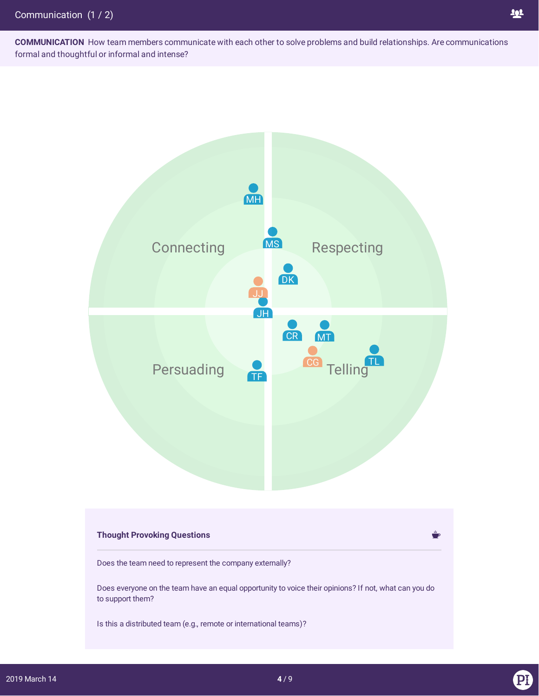**COMMUNICATION** How team members communicate with each other to solve problems and build relationships. Are communications formal and thoughtful or informal and intense?



## **Thought Provoking Questions**

Does the team need to represent the company externally?

Does everyone on the team have an equal opportunity to voice their opinions? If not, what can you do to support them?

Is this a distributed team (e.g., remote or international teams)?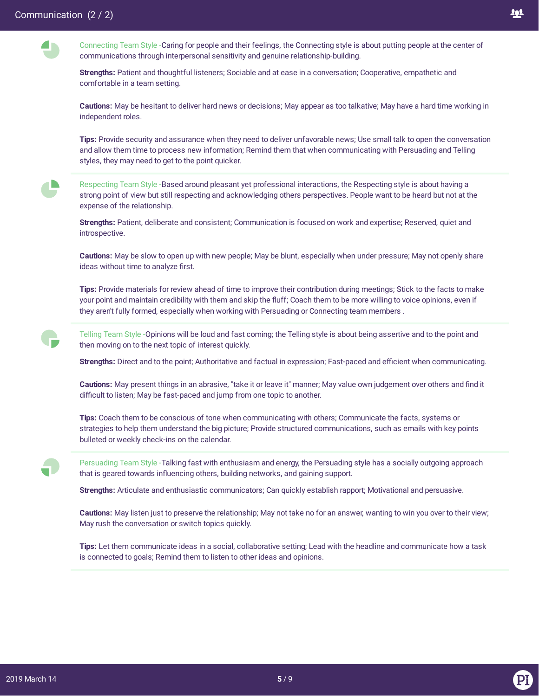**A** 

 $\blacksquare$ 



Connecting Team Style -Caring for people and their feelings, the Connecting style is about putting people at the center of communications through interpersonal sensitivity and genuine relationship-building.

**Strengths:** Patient and thoughtful listeners; Sociable and at ease in a conversation; Cooperative, empathetic and comfortable in a team setting.

**Cautions:** May be hesitant to deliver hard news or decisions; May appear as too talkative; May have a hard time working in independent roles.

**Tips:** Provide security and assurance when they need to deliver unfavorable news; Use small talk to open the conversation and allow them time to process new information; Remind them that when communicating with Persuading and Telling styles, they may need to get to the point quicker.

Respecting Team Style -Based around pleasant yet professional interactions, the Respecting style is about having a strong point of view but still respecting and acknowledging others perspectives. People want to be heard but not at the expense of the relationship.

**Strengths:** Patient, deliberate and consistent; Communication is focused on work and expertise; Reserved, quiet and introspective.

**Cautions:** May be slow to open up with new people; May be blunt, especially when under pressure; May not openly share ideas without time to analyze first.

**Tips:** Provide materials for review ahead of time to improve their contribution during meetings; Stick to the facts to make your point and maintain credibility with them and skip the fluff; Coach them to be more willing to voice opinions, even if they aren't fully formed, especially when working with Persuading or Connecting team members .

Telling Team Style -Opinions will be loud and fast coming; the Telling style is about being assertive and to the point and then moving on to the next topic of interest quickly.

**Strengths:** Direct and to the point; Authoritative and factual in expression; Fast-paced and efficient when communicating.

**Cautions:** May present things in an abrasive, "take it or leave it" manner; May value own judgement over others and find it difficult to listen; May be fast-paced and jump from one topic to another.

**Tips:** Coach them to be conscious of tone when communicating with others; Communicate the facts, systems or strategies to help them understand the big picture; Provide structured communications, such as emails with key points bulleted or weekly check-ins on the calendar.

Persuading Team Style -Talking fast with enthusiasm and energy, the Persuading style has a socially outgoing approach that is geared towards influencing others, building networks, and gaining support.

**Strengths:** Articulate and enthusiastic communicators; Can quickly establish rapport; Motivational and persuasive.

**Cautions:** May listen just to preserve the relationship; May not take no for an answer, wanting to win you over to their view; May rush the conversation or switch topics quickly.

**Tips:** Let them communicate ideas in a social, collaborative setting; Lead with the headline and communicate how a task is connected to goals; Remind them to listen to other ideas and opinions.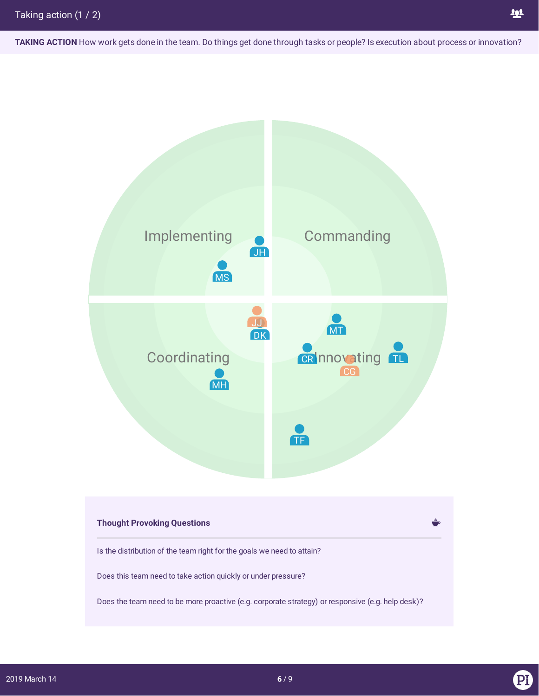**TAKING ACTION** How work gets done in the team. Do things get done through tasks or people? Is execution about process or innovation?

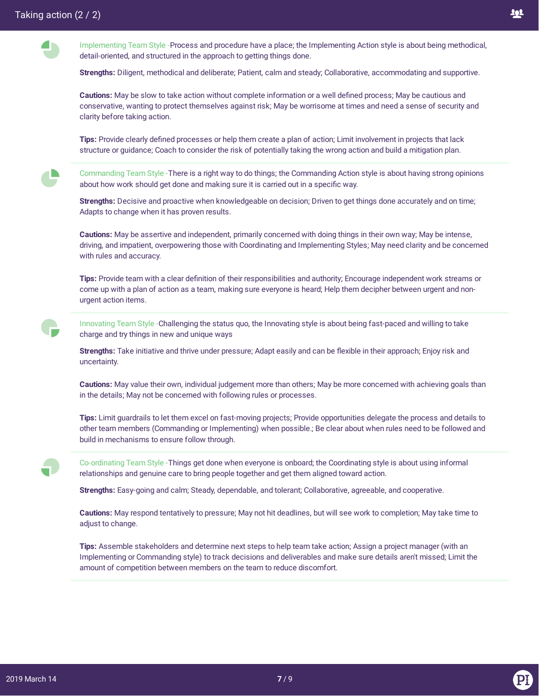Implementing Team Style -Process and procedure have a place; the Implementing Action style is about being methodical, detail-oriented, and structured in the approach to getting things done.

**Strengths:** Diligent, methodical and deliberate; Patient, calm and steady; Collaborative, accommodating and supportive.

**Cautions:** May be slow to take action without complete information or a well defined process; May be cautious and conservative, wanting to protect themselves against risk; May be worrisome at times and need a sense of security and clarity before taking action.

Tips: Provide clearly defined processes or help them create a plan of action; Limit involvement in projects that lack structure or guidance; Coach to consider the risk of potentially taking the wrong action and build a mitigation plan.

Commanding Team Style -There is a right way to do things; the Commanding Action style is about having strong opinions about how work should get done and making sure it is carried out in a specific way.

**Strengths:** Decisive and proactive when knowledgeable on decision; Driven to get things done accurately and on time; Adapts to change when it has proven results.

**Cautions:** May be assertive and independent, primarily concerned with doing things in their own way; May be intense, driving, and impatient, overpowering those with Coordinating and Implementing Styles; May need clarity and be concerned with rules and accuracy.

**Tips:** Provide team with a clear definition of their responsibilities and authority; Encourage independent work streams or come up with a plan of action as a team, making sure everyone is heard; Help them decipher between urgent and nonurgent action items.

Innovating Team Style -Challenging the status quo, the Innovating style is about being fast-paced and willing to take charge and try things in new and unique ways

Strengths: Take initiative and thrive under pressure; Adapt easily and can be flexible in their approach; Enjoy risk and uncertainty.

**Cautions:** May value their own, individual judgement more than others; May be more concerned with achieving goals than in the details; May not be concerned with following rules or processes.

**Tips:** Limit guardrails to let them excel on fast-moving projects; Provide opportunities delegate the process and details to other team members (Commanding or Implementing) when possible.; Be clear about when rules need to be followed and build in mechanisms to ensure follow through.



Co-ordinating Team Style -Things get done when everyone is onboard; the Coordinating style is about using informal relationships and genuine care to bring people together and get them aligned toward action.

**Strengths:** Easy-going and calm; Steady, dependable, and tolerant; Collaborative, agreeable, and cooperative.

**Cautions:** May respond tentatively to pressure; May not hit deadlines, but will see work to completion; May take time to adjust to change.

**Tips:** Assemble stakeholders and determine next steps to help team take action; Assign a project manager (with an Implementing or Commanding style) to track decisions and deliverables and make sure details aren't missed; Limit the amount of competition between members on the team to reduce discomfort.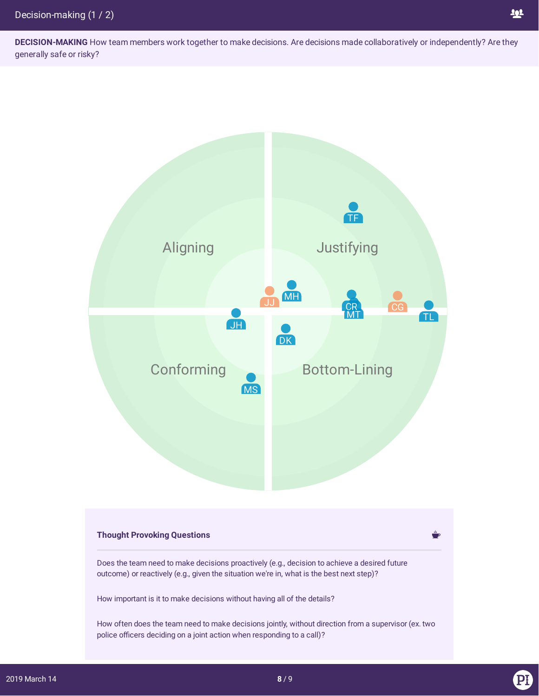

## **Thought Provoking Questions**

Does the team need to make decisions proactively (e.g., decision to achieve a desired future outcome) or reactively (e.g., given the situation we're in, what is the best next step)?

How important is it to make decisions without having all of the details?

How often does the team need to make decisions jointly, without direction from a supervisor (ex. two police officers deciding on a joint action when responding to a call)?